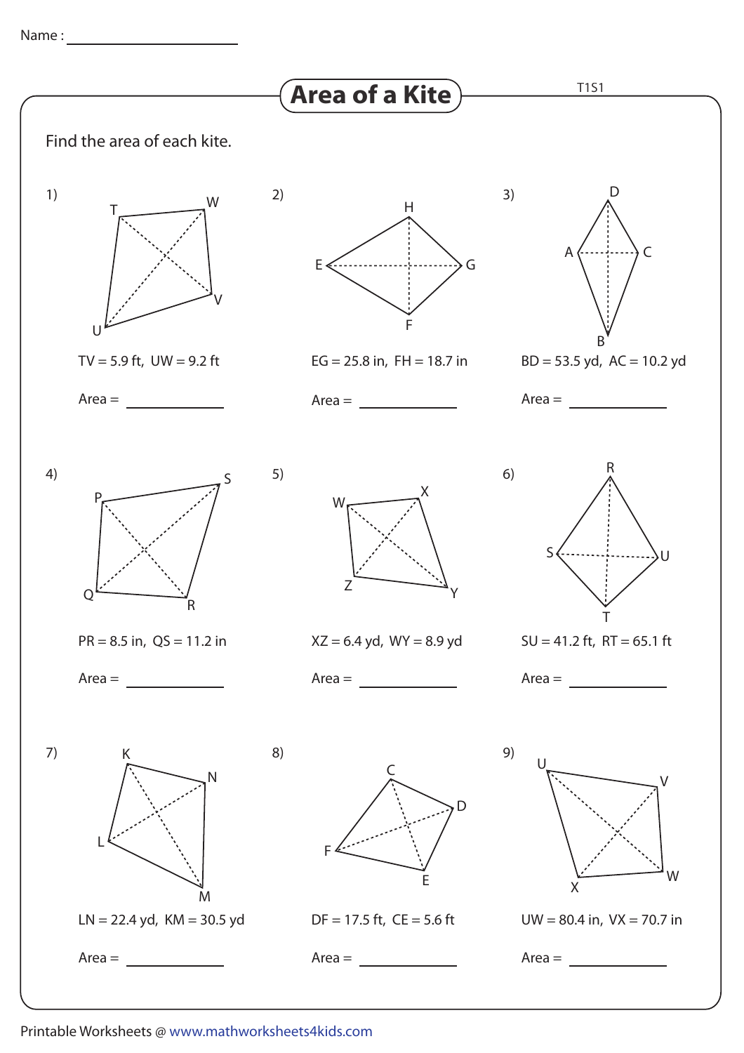